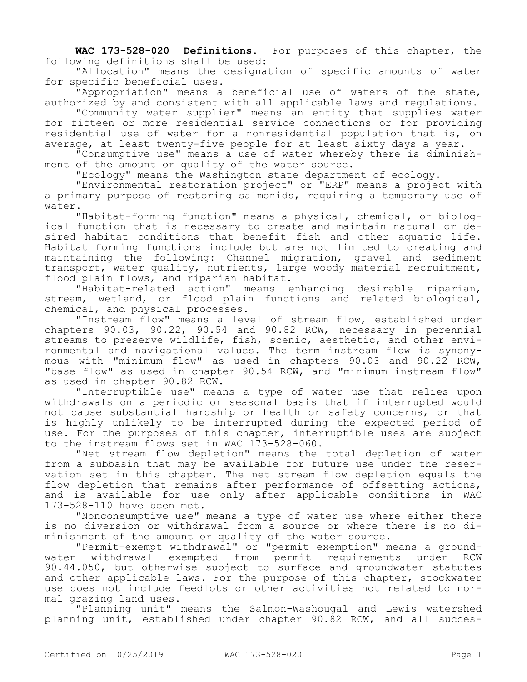**WAC 173-528-020 Definitions.** For purposes of this chapter, the following definitions shall be used:

"Allocation" means the designation of specific amounts of water for specific beneficial uses.

"Appropriation" means a beneficial use of waters of the state, authorized by and consistent with all applicable laws and regulations.

"Community water supplier" means an entity that supplies water for fifteen or more residential service connections or for providing residential use of water for a nonresidential population that is, on average, at least twenty-five people for at least sixty days a year.

"Consumptive use" means a use of water whereby there is diminishment of the amount or quality of the water source.

"Ecology" means the Washington state department of ecology.

"Environmental restoration project" or "ERP" means a project with a primary purpose of restoring salmonids, requiring a temporary use of water.

"Habitat-forming function" means a physical, chemical, or biological function that is necessary to create and maintain natural or desired habitat conditions that benefit fish and other aquatic life. Habitat forming functions include but are not limited to creating and maintaining the following: Channel migration, gravel and sediment transport, water quality, nutrients, large woody material recruitment, flood plain flows, and riparian habitat.

"Habitat-related action" means enhancing desirable riparian, stream, wetland, or flood plain functions and related biological, chemical, and physical processes.

"Instream flow" means a level of stream flow, established under chapters 90.03, 90.22, 90.54 and 90.82 RCW, necessary in perennial streams to preserve wildlife, fish, scenic, aesthetic, and other environmental and navigational values. The term instream flow is synonymous with "minimum flow" as used in chapters 90.03 and 90.22 RCW, "base flow" as used in chapter 90.54 RCW, and "minimum instream flow" as used in chapter 90.82 RCW.

"Interruptible use" means a type of water use that relies upon withdrawals on a periodic or seasonal basis that if interrupted would not cause substantial hardship or health or safety concerns, or that is highly unlikely to be interrupted during the expected period of use. For the purposes of this chapter, interruptible uses are subject to the instream flows set in WAC 173-528-060.

"Net stream flow depletion" means the total depletion of water from a subbasin that may be available for future use under the reservation set in this chapter. The net stream flow depletion equals the flow depletion that remains after performance of offsetting actions, and is available for use only after applicable conditions in WAC 173-528-110 have been met.

"Nonconsumptive use" means a type of water use where either there is no diversion or withdrawal from a source or where there is no diminishment of the amount or quality of the water source.

"Permit-exempt withdrawal" or "permit exemption" means a groundwater withdrawal exempted from permit requirements under RCW 90.44.050, but otherwise subject to surface and groundwater statutes and other applicable laws. For the purpose of this chapter, stockwater use does not include feedlots or other activities not related to normal grazing land uses.

"Planning unit" means the Salmon-Washougal and Lewis watershed planning unit, established under chapter 90.82 RCW, and all succes